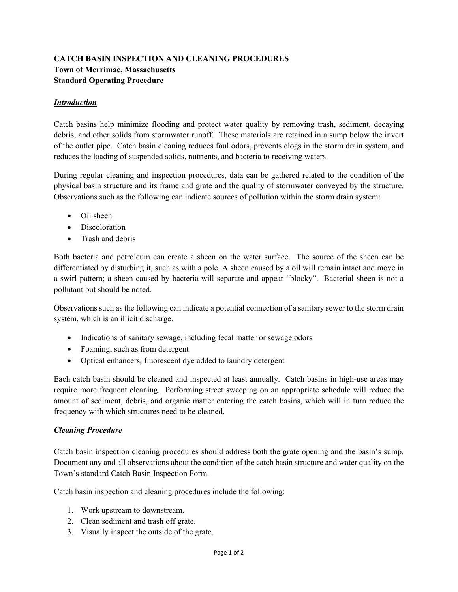## **CATCH BASIN INSPECTION AND CLEANING PROCEDURES Town of Merrimac, Massachusetts Standard Operating Procedure**

## *Introduction*

Catch basins help minimize flooding and protect water quality by removing trash, sediment, decaying debris, and other solids from stormwater runoff. These materials are retained in a sump below the invert of the outlet pipe. Catch basin cleaning reduces foul odors, prevents clogs in the storm drain system, and reduces the loading of suspended solids, nutrients, and bacteria to receiving waters.

During regular cleaning and inspection procedures, data can be gathered related to the condition of the physical basin structure and its frame and grate and the quality of stormwater conveyed by the structure. Observations such as the following can indicate sources of pollution within the storm drain system:

- Oil sheen
- Discoloration
- Trash and debris

Both bacteria and petroleum can create a sheen on the water surface. The source of the sheen can be differentiated by disturbing it, such as with a pole. A sheen caused by a oil will remain intact and move in a swirl pattern; a sheen caused by bacteria will separate and appear "blocky". Bacterial sheen is not a pollutant but should be noted.

Observations such as the following can indicate a potential connection of a sanitary sewer to the storm drain system, which is an illicit discharge.

- Indications of sanitary sewage, including fecal matter or sewage odors
- Foaming, such as from detergent
- Optical enhancers, fluorescent dye added to laundry detergent

Each catch basin should be cleaned and inspected at least annually. Catch basins in high-use areas may require more frequent cleaning. Performing street sweeping on an appropriate schedule will reduce the amount of sediment, debris, and organic matter entering the catch basins, which will in turn reduce the frequency with which structures need to be cleaned.

## *Cleaning Procedure*

Catch basin inspection cleaning procedures should address both the grate opening and the basin's sump. Document any and all observations about the condition of the catch basin structure and water quality on the Town's standard Catch Basin Inspection Form.

Catch basin inspection and cleaning procedures include the following:

- 1. Work upstream to downstream.
- 2. Clean sediment and trash off grate.
- 3. Visually inspect the outside of the grate.